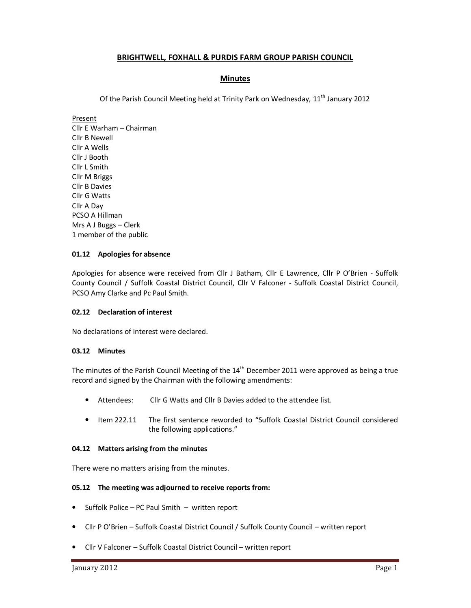# **BRIGHTWELL, FOXHALL & PURDIS FARM GROUP PARISH COUNCIL**

# **Minutes**

Of the Parish Council Meeting held at Trinity Park on Wednesday,  $11<sup>th</sup>$  January 2012

Present

Cllr E Warham – Chairman Cllr B Newell Cllr A Wells Cllr J Booth Cllr L Smith Cllr M Briggs Cllr B Davies Cllr G Watts Cllr A Day PCSO A Hillman Mrs A J Buggs – Clerk 1 member of the public

# **01.12 Apologies for absence**

Apologies for absence were received from Cllr J Batham, Cllr E Lawrence, Cllr P O'Brien - Suffolk County Council / Suffolk Coastal District Council, Cllr V Falconer - Suffolk Coastal District Council, PCSO Amy Clarke and Pc Paul Smith.

# **02.12 Declaration of interest**

No declarations of interest were declared.

### **03.12 Minutes**

The minutes of the Parish Council Meeting of the 14<sup>th</sup> December 2011 were approved as being a true record and signed by the Chairman with the following amendments:

- Attendees: Cllr G Watts and Cllr B Davies added to the attendee list.
- Item 222.11 The first sentence reworded to "Suffolk Coastal District Council considered the following applications."

# **04.12 Matters arising from the minutes**

There were no matters arising from the minutes.

# **05.12 The meeting was adjourned to receive reports from:**

- Suffolk Police PC Paul Smith written report
- Cllr P O'Brien Suffolk Coastal District Council / Suffolk County Council written report
- Cllr V Falconer Suffolk Coastal District Council written report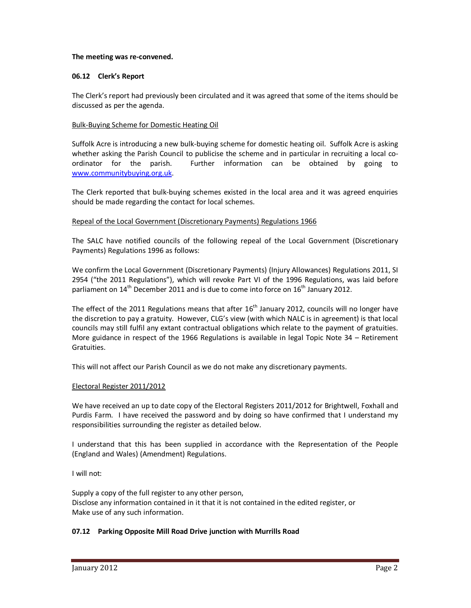### **The meeting was re-convened.**

## **06.12 Clerk's Report**

The Clerk's report had previously been circulated and it was agreed that some of the items should be discussed as per the agenda.

## Bulk-Buying Scheme for Domestic Heating Oil

Suffolk Acre is introducing a new bulk-buying scheme for domestic heating oil. Suffolk Acre is asking whether asking the Parish Council to publicise the scheme and in particular in recruiting a local coordinator for the parish. Further information can be obtained by going to www.communitybuying.org.uk.

The Clerk reported that bulk-buying schemes existed in the local area and it was agreed enquiries should be made regarding the contact for local schemes.

## Repeal of the Local Government (Discretionary Payments) Regulations 1966

The SALC have notified councils of the following repeal of the Local Government (Discretionary Payments) Regulations 1996 as follows:

We confirm the Local Government (Discretionary Payments) (Injury Allowances) Regulations 2011, SI 2954 ("the 2011 Regulations"), which will revoke Part VI of the 1996 Regulations, was laid before parliament on  $14<sup>th</sup>$  December 2011 and is due to come into force on  $16<sup>th</sup>$  January 2012.

The effect of the 2011 Regulations means that after  $16<sup>th</sup>$  January 2012, councils will no longer have the discretion to pay a gratuity. However, CLG's view (with which NALC is in agreement) is that local councils may still fulfil any extant contractual obligations which relate to the payment of gratuities. More guidance in respect of the 1966 Regulations is available in legal Topic Note 34 – Retirement Gratuities.

This will not affect our Parish Council as we do not make any discretionary payments.

### Electoral Register 2011/2012

We have received an up to date copy of the Electoral Registers 2011/2012 for Brightwell, Foxhall and Purdis Farm. I have received the password and by doing so have confirmed that I understand my responsibilities surrounding the register as detailed below.

I understand that this has been supplied in accordance with the Representation of the People (England and Wales) (Amendment) Regulations.

I will not:

Supply a copy of the full register to any other person, Disclose any information contained in it that it is not contained in the edited register, or Make use of any such information.

# **07.12 Parking Opposite Mill Road Drive junction with Murrills Road**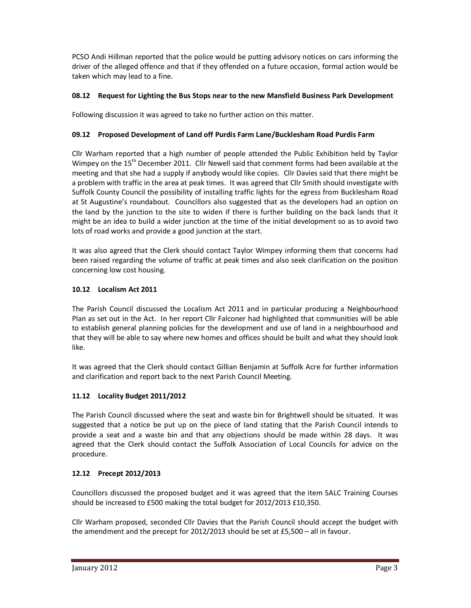PCSO Andi Hillman reported that the police would be putting advisory notices on cars informing the driver of the alleged offence and that if they offended on a future occasion, formal action would be taken which may lead to a fine.

# **08.12 Request for Lighting the Bus Stops near to the new Mansfield Business Park Development**

Following discussion it was agreed to take no further action on this matter.

# **09.12 Proposed Development of Land off Purdis Farm Lane/Bucklesham Road Purdis Farm**

Cllr Warham reported that a high number of people attended the Public Exhibition held by Taylor Wimpey on the 15<sup>th</sup> December 2011. Cllr Newell said that comment forms had been available at the meeting and that she had a supply if anybody would like copies. Cllr Davies said that there might be a problem with traffic in the area at peak times. It was agreed that Cllr Smith should investigate with Suffolk County Council the possibility of installing traffic lights for the egress from Bucklesham Road at St Augustine's roundabout. Councillors also suggested that as the developers had an option on the land by the junction to the site to widen if there is further building on the back lands that it might be an idea to build a wider junction at the time of the initial development so as to avoid two lots of road works and provide a good junction at the start.

It was also agreed that the Clerk should contact Taylor Wimpey informing them that concerns had been raised regarding the volume of traffic at peak times and also seek clarification on the position concerning low cost housing.

# **10.12 Localism Act 2011**

The Parish Council discussed the Localism Act 2011 and in particular producing a Neighbourhood Plan as set out in the Act. In her report Cllr Falconer had highlighted that communities will be able to establish general planning policies for the development and use of land in a neighbourhood and that they will be able to say where new homes and offices should be built and what they should look like.

It was agreed that the Clerk should contact Gillian Benjamin at Suffolk Acre for further information and clarification and report back to the next Parish Council Meeting.

# **11.12 Locality Budget 2011/2012**

The Parish Council discussed where the seat and waste bin for Brightwell should be situated. It was suggested that a notice be put up on the piece of land stating that the Parish Council intends to provide a seat and a waste bin and that any objections should be made within 28 days. It was agreed that the Clerk should contact the Suffolk Association of Local Councils for advice on the procedure.

# **12.12 Precept 2012/2013**

Councillors discussed the proposed budget and it was agreed that the item SALC Training Courses should be increased to £500 making the total budget for 2012/2013 £10,350.

Cllr Warham proposed, seconded Cllr Davies that the Parish Council should accept the budget with the amendment and the precept for 2012/2013 should be set at £5,500 – all in favour.